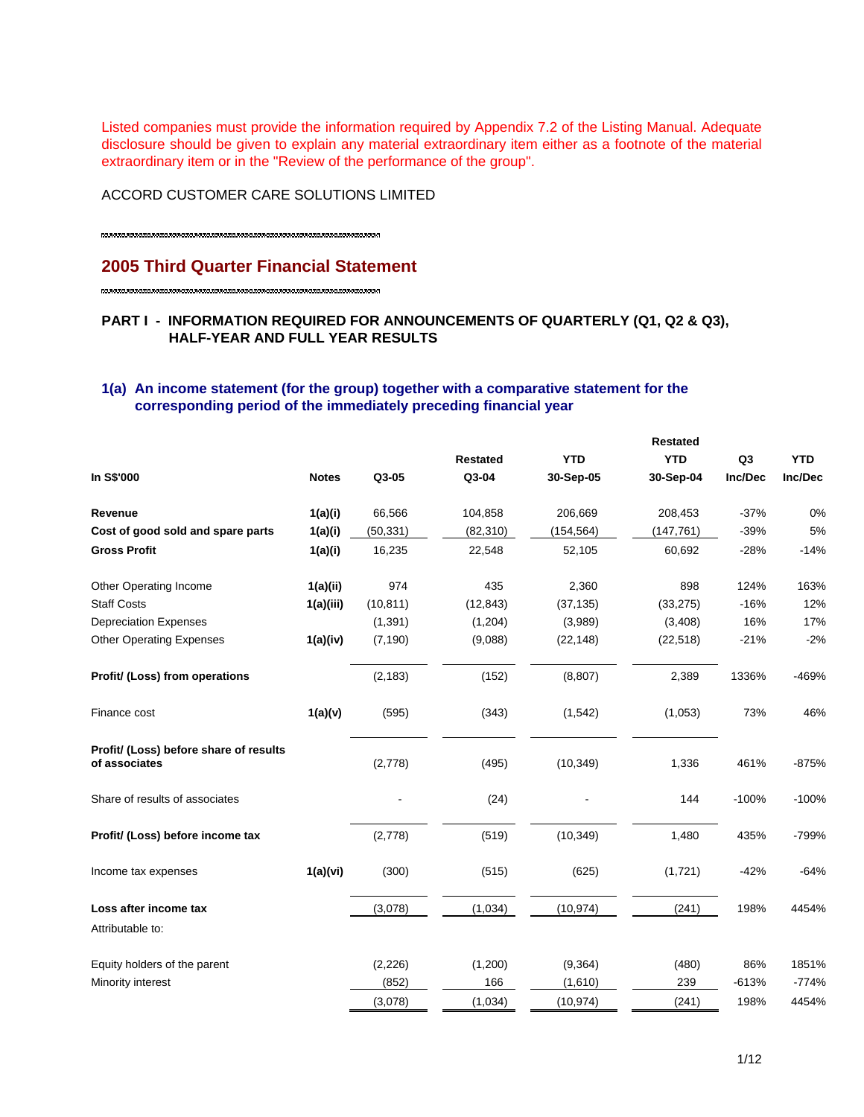Listed companies must provide the information required by Appendix 7.2 of the Listing Manual. Adequate disclosure should be given to explain any material extraordinary item either as a footnote of the material extraordinary item or in the "Review of the performance of the group".

ACCORD CUSTOMER CARE SOLUTIONS LIMITED

# **2005 Third Quarter Financial Statement**

## **PART I - INFORMATION REQUIRED FOR ANNOUNCEMENTS OF QUARTERLY (Q1, Q2 & Q3), HALF-YEAR AND FULL YEAR RESULTS**

## **1(a) An income statement (for the group) together with a comparative statement for the corresponding period of the immediately preceding financial year**

|                                                         |              |           |                 |            |            | <b>Restated</b> |            |  |  |
|---------------------------------------------------------|--------------|-----------|-----------------|------------|------------|-----------------|------------|--|--|
|                                                         |              |           | <b>Restated</b> | <b>YTD</b> | <b>YTD</b> | Q <sub>3</sub>  | <b>YTD</b> |  |  |
| In S\$'000                                              | <b>Notes</b> | Q3-05     | Q3-04           | 30-Sep-05  | 30-Sep-04  | Inc/Dec         | Inc/Dec    |  |  |
| Revenue                                                 | 1(a)(i)      | 66,566    | 104,858         | 206,669    | 208,453    | $-37%$          | 0%         |  |  |
| Cost of good sold and spare parts                       | 1(a)(i)      | (50, 331) | (82, 310)       | (154, 564) | (147, 761) | $-39%$          | 5%         |  |  |
| <b>Gross Profit</b>                                     | 1(a)(i)      | 16,235    | 22,548          | 52,105     | 60,692     | $-28%$          | $-14%$     |  |  |
| Other Operating Income                                  | 1(a)(ii)     | 974       | 435             | 2,360      | 898        | 124%            | 163%       |  |  |
| <b>Staff Costs</b>                                      | 1(a)(iii)    | (10, 811) | (12, 843)       | (37, 135)  | (33, 275)  | $-16%$          | 12%        |  |  |
| <b>Depreciation Expenses</b>                            |              | (1, 391)  | (1,204)         | (3,989)    | (3,408)    | 16%             | 17%        |  |  |
| <b>Other Operating Expenses</b>                         | 1(a)(iv)     | (7, 190)  | (9,088)         | (22, 148)  | (22, 518)  | $-21%$          | $-2%$      |  |  |
| Profit/ (Loss) from operations                          |              | (2, 183)  | (152)           | (8, 807)   | 2,389      | 1336%           | -469%      |  |  |
| Finance cost                                            | 1(a)(v)      | (595)     | (343)           | (1, 542)   | (1,053)    | 73%             | 46%        |  |  |
| Profit/ (Loss) before share of results<br>of associates |              | (2,778)   | (495)           | (10, 349)  | 1,336      | 461%            | $-875%$    |  |  |
| Share of results of associates                          |              |           | (24)            |            | 144        | $-100%$         | $-100%$    |  |  |
| Profit/ (Loss) before income tax                        |              | (2,778)   | (519)           | (10, 349)  | 1,480      | 435%            | $-799%$    |  |  |
| Income tax expenses                                     | 1(a)(vi)     | (300)     | (515)           | (625)      | (1,721)    | $-42%$          | $-64%$     |  |  |
| Loss after income tax                                   |              | (3,078)   | (1,034)         | (10, 974)  | (241)      | 198%            | 4454%      |  |  |
| Attributable to:                                        |              |           |                 |            |            |                 |            |  |  |
| Equity holders of the parent                            |              | (2,226)   | (1,200)         | (9, 364)   | (480)      | 86%             | 1851%      |  |  |
| Minority interest                                       |              | (852)     | 166             | (1,610)    | 239        | $-613%$         | $-774%$    |  |  |
|                                                         |              | (3,078)   | (1,034)         | (10, 974)  | (241)      | 198%            | 4454%      |  |  |
|                                                         |              |           |                 |            |            |                 |            |  |  |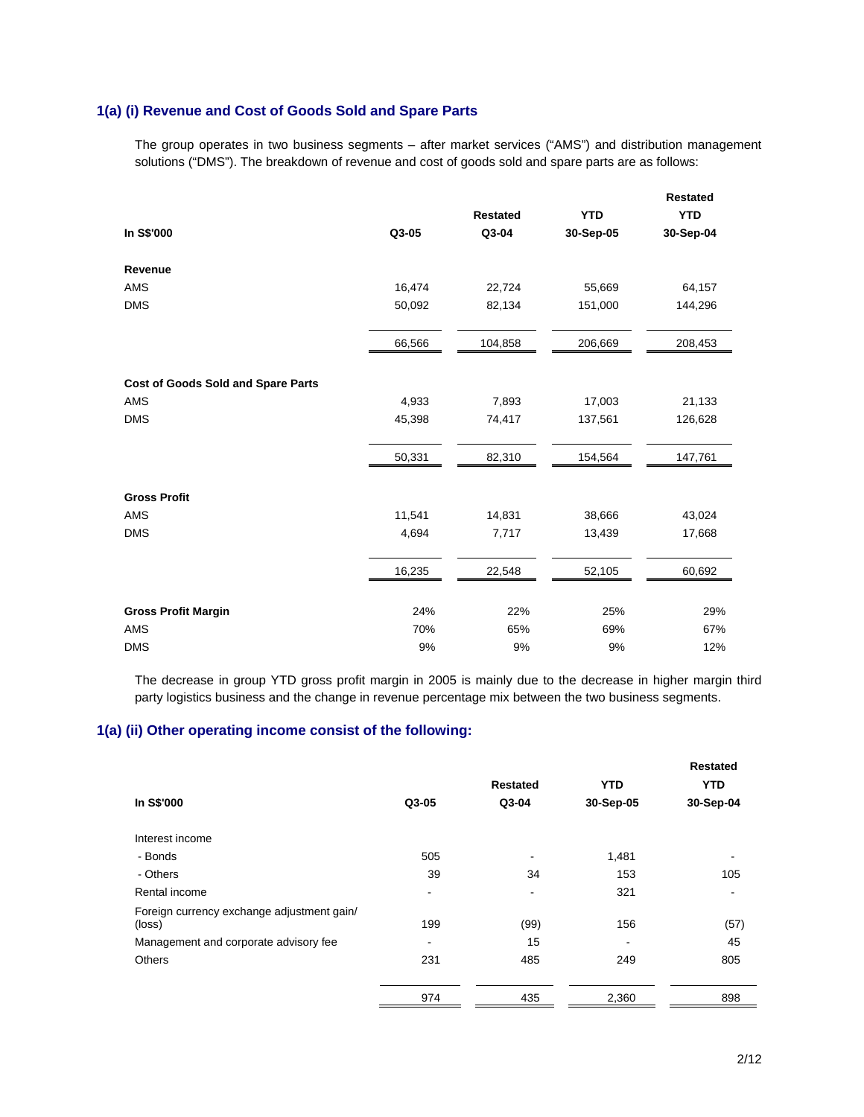# **1(a) (i) Revenue and Cost of Goods Sold and Spare Parts**

The group operates in two business segments – after market services ("AMS") and distribution management solutions ("DMS"). The breakdown of revenue and cost of goods sold and spare parts are as follows:

|                                           |        |                 |            | <b>Restated</b> |
|-------------------------------------------|--------|-----------------|------------|-----------------|
|                                           |        | <b>Restated</b> | <b>YTD</b> | <b>YTD</b>      |
| In S\$'000                                | Q3-05  | Q3-04           | 30-Sep-05  | 30-Sep-04       |
| Revenue                                   |        |                 |            |                 |
| <b>AMS</b>                                | 16,474 | 22,724          | 55,669     | 64,157          |
| <b>DMS</b>                                | 50,092 | 82,134          | 151,000    | 144,296         |
|                                           | 66,566 | 104,858         | 206,669    | 208,453         |
| <b>Cost of Goods Sold and Spare Parts</b> |        |                 |            |                 |
| <b>AMS</b>                                | 4,933  | 7,893           | 17,003     | 21,133          |
| <b>DMS</b>                                | 45,398 | 74,417          | 137,561    | 126,628         |
|                                           | 50,331 | 82,310          | 154,564    | 147,761         |
| <b>Gross Profit</b>                       |        |                 |            |                 |
| <b>AMS</b>                                | 11,541 | 14,831          | 38,666     | 43,024          |
| <b>DMS</b>                                | 4,694  | 7,717           | 13,439     | 17,668          |
|                                           | 16,235 | 22,548          | 52,105     | 60,692          |
| <b>Gross Profit Margin</b>                | 24%    | 22%             | 25%        | 29%             |
| <b>AMS</b>                                | 70%    | 65%             | 69%        | 67%             |
| <b>DMS</b>                                | 9%     | 9%              | 9%         | 12%             |

The decrease in group YTD gross profit margin in 2005 is mainly due to the decrease in higher margin third party logistics business and the change in revenue percentage mix between the two business segments.

### **1(a) (ii) Other operating income consist of the following:**

|                                                      |       | <b>Restated</b> | <b>YTD</b> | <b>Restated</b><br><b>YTD</b> |
|------------------------------------------------------|-------|-----------------|------------|-------------------------------|
| In S\$'000                                           | Q3-05 | Q3-04           | 30-Sep-05  | 30-Sep-04                     |
| Interest income                                      |       |                 |            |                               |
| - Bonds                                              | 505   |                 | 1,481      |                               |
| - Others                                             | 39    | 34              | 153        | 105                           |
| Rental income                                        | ۰     |                 | 321        |                               |
| Foreign currency exchange adjustment gain/<br>(loss) | 199   | (99)            | 156        | (57)                          |
| Management and corporate advisory fee                | ۰     | 15              |            | 45                            |
| <b>Others</b>                                        | 231   | 485             | 249        | 805                           |
|                                                      | 974   | 435             | 2,360      | 898                           |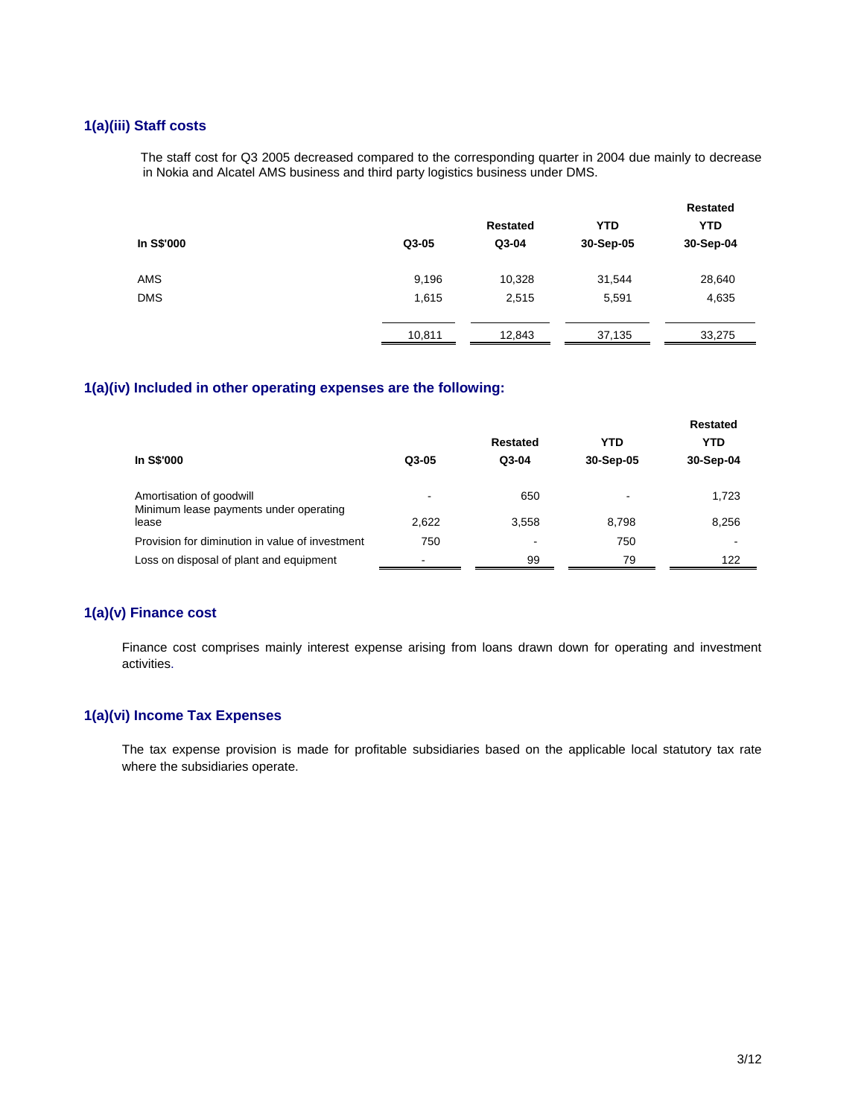# **1(a)(iii) Staff costs**

The staff cost for Q3 2005 decreased compared to the corresponding quarter in 2004 due mainly to decrease in Nokia and Alcatel AMS business and third party logistics business under DMS.

|            |        |                 |            | <b>Restated</b> |
|------------|--------|-----------------|------------|-----------------|
|            |        | <b>Restated</b> | <b>YTD</b> | <b>YTD</b>      |
| In S\$'000 | Q3-05  | Q3-04           | 30-Sep-05  | 30-Sep-04       |
| <b>AMS</b> | 9,196  | 10,328          | 31,544     | 28,640          |
| <b>DMS</b> | 1,615  | 2,515           | 5,591      | 4,635           |
|            | 10,811 | 12,843          | 37,135     | 33,275          |

## **1(a)(iv) Included in other operating expenses are the following:**

|                                                                    |       |          |            | <b>Restated</b> |  |  |
|--------------------------------------------------------------------|-------|----------|------------|-----------------|--|--|
|                                                                    |       | Restated | <b>YTD</b> | YTD             |  |  |
| <b>In S\$'000</b>                                                  | Q3-05 | $Q3-04$  | 30-Sep-05  | 30-Sep-04       |  |  |
|                                                                    |       |          |            |                 |  |  |
| Amortisation of goodwill<br>Minimum lease payments under operating |       | 650      | ۰          | 1,723           |  |  |
| lease                                                              | 2,622 | 3,558    | 8,798      | 8,256           |  |  |
| Provision for diminution in value of investment                    | 750   | -        | 750        | -               |  |  |
| Loss on disposal of plant and equipment                            | -     | 99       | 79         | 122             |  |  |

## **1(a)(v) Finance cost**

Finance cost comprises mainly interest expense arising from loans drawn down for operating and investment activities.

## **1(a)(vi) Income Tax Expenses**

The tax expense provision is made for profitable subsidiaries based on the applicable local statutory tax rate where the subsidiaries operate.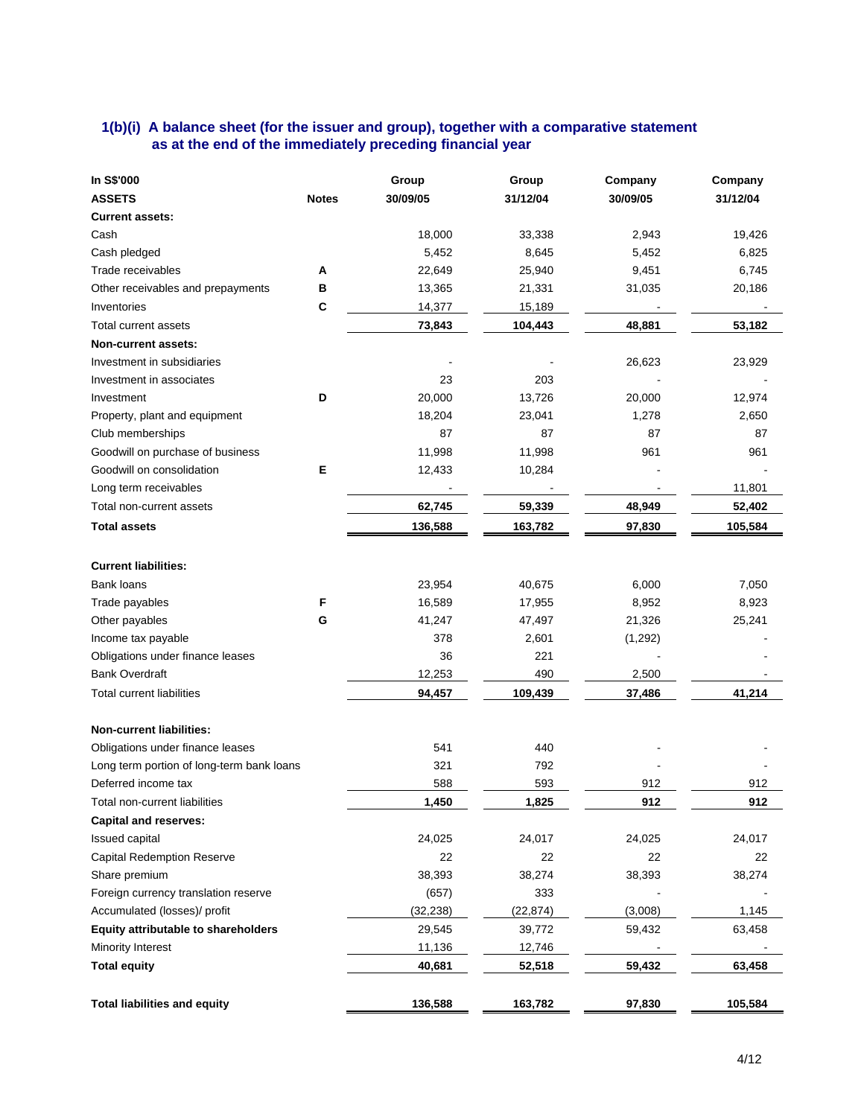## **1(b)(i) A balance sheet (for the issuer and group), together with a comparative statement as at the end of the immediately preceding financial year**

| In S\$'000                                |              | Group     | Group     | Company  | Company  |
|-------------------------------------------|--------------|-----------|-----------|----------|----------|
| <b>ASSETS</b>                             | <b>Notes</b> | 30/09/05  | 31/12/04  | 30/09/05 | 31/12/04 |
| <b>Current assets:</b>                    |              |           |           |          |          |
| Cash                                      |              | 18,000    | 33,338    | 2,943    | 19,426   |
| Cash pledged                              |              | 5,452     | 8,645     | 5,452    | 6,825    |
| Trade receivables                         | A            | 22,649    | 25,940    | 9,451    | 6,745    |
| Other receivables and prepayments         | в            | 13,365    | 21,331    | 31,035   | 20,186   |
| Inventories                               | C            | 14,377    | 15,189    |          |          |
| Total current assets                      |              | 73,843    | 104,443   | 48,881   | 53,182   |
| Non-current assets:                       |              |           |           |          |          |
| Investment in subsidiaries                |              |           |           | 26,623   | 23,929   |
| Investment in associates                  |              | 23        | 203       |          |          |
| Investment                                | D            | 20,000    | 13,726    | 20,000   | 12,974   |
| Property, plant and equipment             |              | 18,204    | 23,041    | 1,278    | 2,650    |
| Club memberships                          |              | 87        | 87        | 87       | 87       |
| Goodwill on purchase of business          |              | 11,998    | 11,998    | 961      | 961      |
| Goodwill on consolidation                 | Е            | 12,433    | 10,284    |          |          |
| Long term receivables                     |              |           |           |          | 11,801   |
| Total non-current assets                  |              | 62,745    | 59,339    | 48,949   | 52,402   |
| <b>Total assets</b>                       |              | 136,588   | 163,782   | 97,830   | 105,584  |
|                                           |              |           |           |          |          |
| <b>Current liabilities:</b>               |              |           |           |          |          |
| Bank loans                                |              | 23,954    | 40,675    | 6,000    | 7,050    |
| Trade payables                            | F            | 16,589    | 17,955    | 8,952    | 8,923    |
| Other payables                            | G            | 41,247    | 47,497    | 21,326   | 25,241   |
| Income tax payable                        |              | 378       | 2,601     | (1,292)  |          |
| Obligations under finance leases          |              | 36        | 221       |          |          |
| <b>Bank Overdraft</b>                     |              | 12,253    | 490       | 2,500    |          |
| <b>Total current liabilities</b>          |              | 94,457    | 109,439   | 37,486   | 41,214   |
| <b>Non-current liabilities:</b>           |              |           |           |          |          |
| Obligations under finance leases          |              | 541       | 440       |          |          |
| Long term portion of long-term bank loans |              | 321       | 792       |          |          |
| Deferred income tax                       |              | 588       | 593       | 912      | 912      |
| Total non-current liabilities             |              | 1,450     | 1,825     | 912      | 912      |
| <b>Capital and reserves:</b>              |              |           |           |          |          |
| Issued capital                            |              | 24,025    | 24,017    | 24,025   | 24,017   |
| <b>Capital Redemption Reserve</b>         |              | 22        | 22        | 22       | 22       |
| Share premium                             |              | 38,393    | 38,274    | 38,393   | 38,274   |
| Foreign currency translation reserve      |              | (657)     | 333       |          |          |
| Accumulated (losses)/ profit              |              | (32, 238) | (22, 874) | (3,008)  | 1,145    |
| Equity attributable to shareholders       |              | 29,545    | 39,772    | 59,432   | 63,458   |
| Minority Interest                         |              | 11,136    | 12,746    |          |          |
| <b>Total equity</b>                       |              | 40,681    | 52,518    | 59,432   | 63,458   |
|                                           |              |           |           |          |          |
| <b>Total liabilities and equity</b>       |              | 136,588   | 163,782   | 97,830   | 105,584  |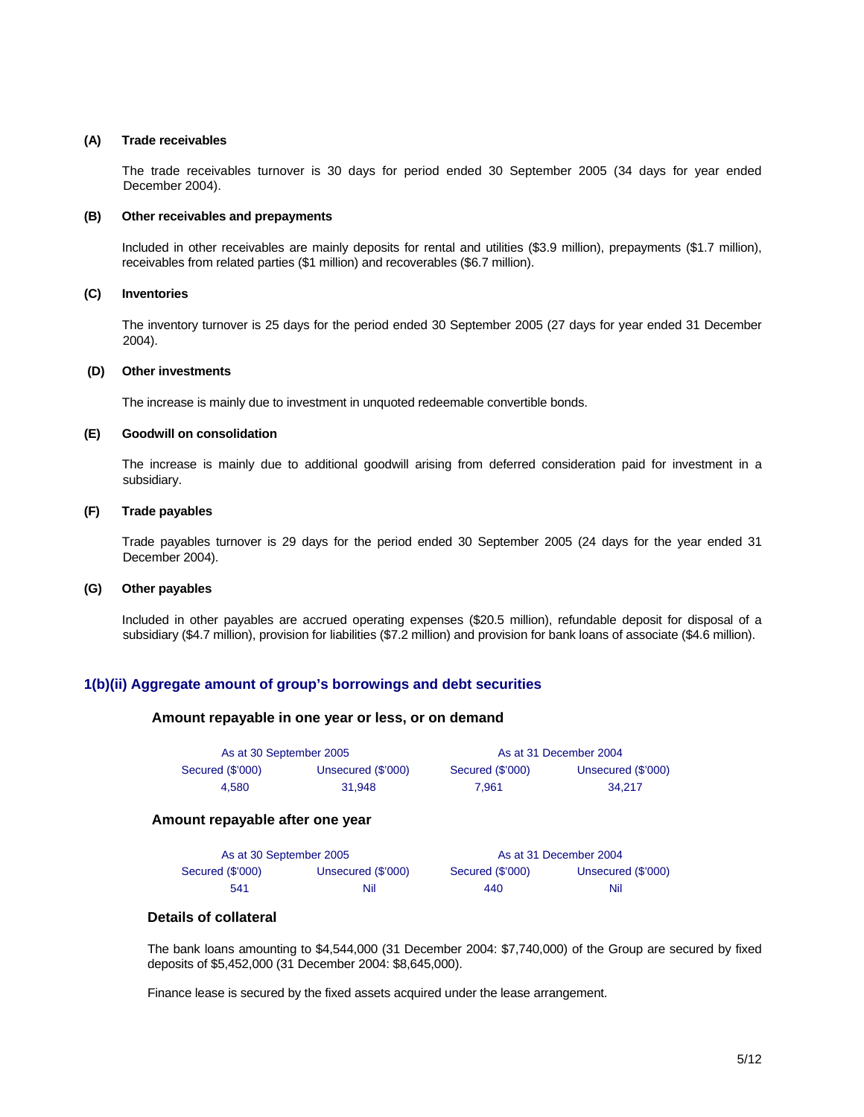#### **(A) Trade receivables**

 The trade receivables turnover is 30 days for period ended 30 September 2005 (34 days for year ended December 2004).

#### **(B) Other receivables and prepayments**

Included in other receivables are mainly deposits for rental and utilities (\$3.9 million), prepayments (\$1.7 million), receivables from related parties (\$1 million) and recoverables (\$6.7 million).

#### **(C) Inventories**

 The inventory turnover is 25 days for the period ended 30 September 2005 (27 days for year ended 31 December 2004).

#### **(D) Other investments**

The increase is mainly due to investment in unquoted redeemable convertible bonds.

#### **(E) Goodwill on consolidation**

 The increase is mainly due to additional goodwill arising from deferred consideration paid for investment in a subsidiary.

#### **(F) Trade payables**

 Trade payables turnover is 29 days for the period ended 30 September 2005 (24 days for the year ended 31 December 2004).

#### **(G) Other payables**

 Included in other payables are accrued operating expenses (\$20.5 million), refundable deposit for disposal of a subsidiary (\$4.7 million), provision for liabilities (\$7.2 million) and provision for bank loans of associate (\$4.6 million).

#### **1(b)(ii) Aggregate amount of group's borrowings and debt securities**

#### **Amount repayable in one year or less, or on demand**

| As at 30 September 2005 |                    | As at 31 December 2004 |                    |  |
|-------------------------|--------------------|------------------------|--------------------|--|
| Secured (\$'000)        | Unsecured (\$'000) | Secured (\$'000)       | Unsecured (\$'000) |  |
| 4.580                   | 31.948             | 7.961                  | 34.217             |  |

#### **Amount repayable after one year**

| As at 30 September 2005 |                    |                  | As at 31 December 2004 |
|-------------------------|--------------------|------------------|------------------------|
| Secured (\$'000)        | Unsecured (\$'000) | Secured (\$'000) | Unsecured (\$'000)     |
| 541                     | Nil                | 440              | Nil                    |

## **Details of collateral**

The bank loans amounting to \$4,544,000 (31 December 2004: \$7,740,000) of the Group are secured by fixed deposits of \$5,452,000 (31 December 2004: \$8,645,000).

Finance lease is secured by the fixed assets acquired under the lease arrangement.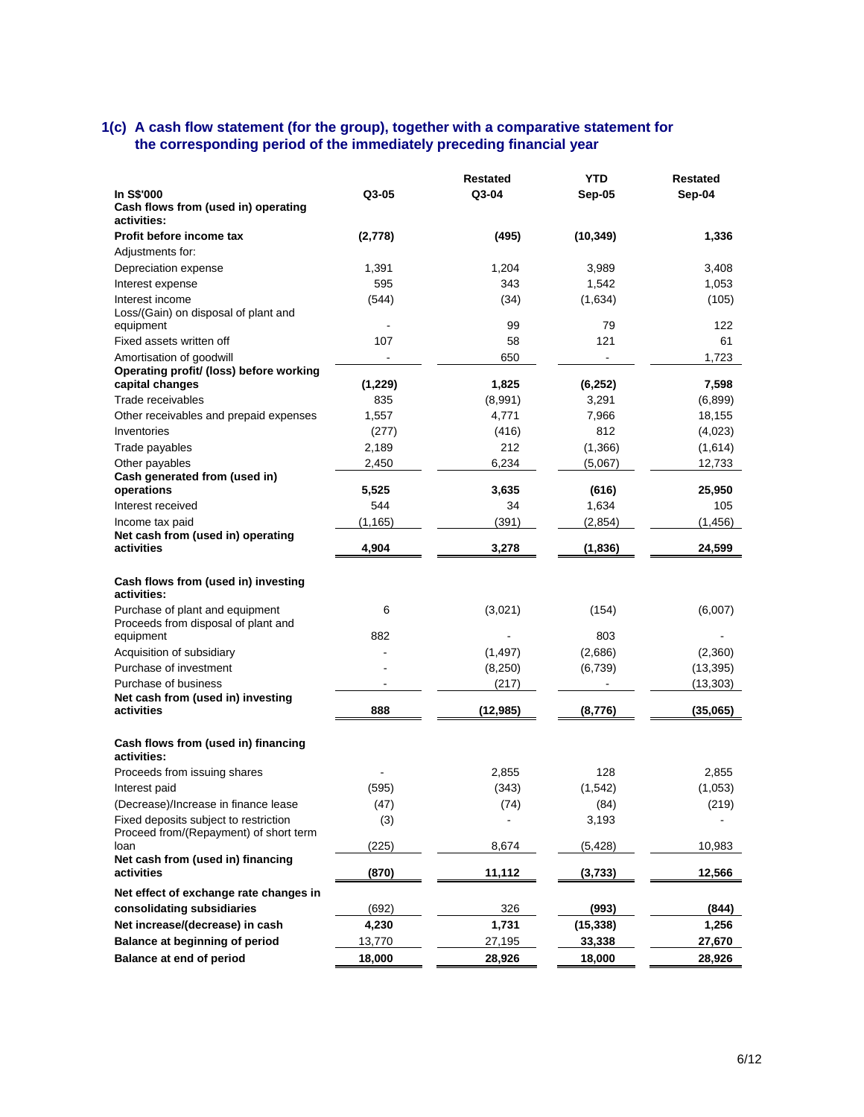#### **1(c) A cash flow statement (for the group), together with a comparative statement for the corresponding period of the immediately preceding financial year**

|                                                            |         | <b>Restated</b> | <b>YTD</b>   | <b>Restated</b> |
|------------------------------------------------------------|---------|-----------------|--------------|-----------------|
| <b>In S\$'000</b>                                          | Q3-05   | Q3-04           | Sep-05       | Sep-04          |
| Cash flows from (used in) operating                        |         |                 |              |                 |
| activities:                                                |         |                 |              |                 |
| Profit before income tax                                   | (2,778) | (495)           | (10, 349)    | 1,336           |
| Adjustments for:                                           |         |                 |              |                 |
| Depreciation expense                                       | 1,391   | 1,204           | 3,989        | 3,408           |
| Interest expense                                           | 595     | 343             | 1,542        | 1,053           |
| Interest income                                            | (544)   | (34)            | (1,634)      | (105)           |
| Loss/(Gain) on disposal of plant and                       |         |                 |              |                 |
| equipment                                                  |         | 99              | 79           | 122             |
| Fixed assets written off                                   | 107     | 58              | 121          | 61              |
| Amortisation of goodwill                                   |         | 650             |              | 1.723           |
| Operating profit/ (loss) before working<br>capital changes | (1,229) | 1,825           | (6, 252)     | 7,598           |
| Trade receivables                                          | 835     | (8,991)         | 3,291        | (6, 899)        |
|                                                            | 1,557   | 4,771           |              |                 |
| Other receivables and prepaid expenses                     |         |                 | 7,966<br>812 | 18,155          |
| Inventories                                                | (277)   | (416)           |              | (4,023)         |
| Trade payables                                             | 2,189   | 212             | (1,366)      | (1,614)         |
| Other payables<br>Cash generated from (used in)            | 2,450   | 6,234           | (5,067)      | 12,733          |
| operations                                                 | 5,525   | 3,635           | (616)        | 25,950          |
| Interest received                                          | 544     | 34              | 1,634        | 105             |
| Income tax paid                                            | (1,165) | (391)           | (2,854)      | (1, 456)        |
| Net cash from (used in) operating                          |         |                 |              |                 |
| activities                                                 | 4,904   | 3,278           | (1,836)      | 24,599          |
|                                                            |         |                 |              |                 |
| Cash flows from (used in) investing<br>activities:         |         |                 |              |                 |
| Purchase of plant and equipment                            | 6       | (3,021)         | (154)        | (6,007)         |
| Proceeds from disposal of plant and                        |         |                 |              |                 |
| equipment                                                  | 882     |                 | 803          |                 |
| Acquisition of subsidiary                                  |         | (1, 497)        | (2,686)      | (2,360)         |
| Purchase of investment                                     |         | (8,250)         | (6,739)      | (13, 395)       |
| Purchase of business                                       |         | (217)           |              | (13, 303)       |
| Net cash from (used in) investing<br>activities            |         |                 |              |                 |
|                                                            | 888     | (12, 985)       | (8,776)      | (35,065)        |
| Cash flows from (used in) financing<br>activities:         |         |                 |              |                 |
| Proceeds from issuing shares                               |         | 2,855           | 128          | 2,855           |
| Interest paid                                              | (595)   | (343)           | (1, 542)     | (1,053)         |
| (Decrease)/Increase in finance lease                       | (47)    | (74)            | (84)         | (219)           |
| Fixed deposits subject to restriction                      | (3)     |                 | 3,193        |                 |
| Proceed from/(Repayment) of short term                     |         |                 |              |                 |
| loan                                                       | (225)   | 8,674           | (5, 428)     | 10,983          |
| Net cash from (used in) financing                          |         |                 |              |                 |
| activities                                                 | (870)   | 11,112          | (3,733)      | 12,566          |
| Net effect of exchange rate changes in                     |         |                 |              |                 |
| consolidating subsidiaries                                 | (692)   | 326             | (993)        | (844)           |
| Net increase/(decrease) in cash                            | 4,230   | 1,731           | (15, 338)    | 1,256           |
| Balance at beginning of period                             | 13,770  | 27,195          | 33,338       | 27,670          |
| Balance at end of period                                   | 18,000  | 28,926          | 18,000       | 28,926          |
|                                                            |         |                 |              |                 |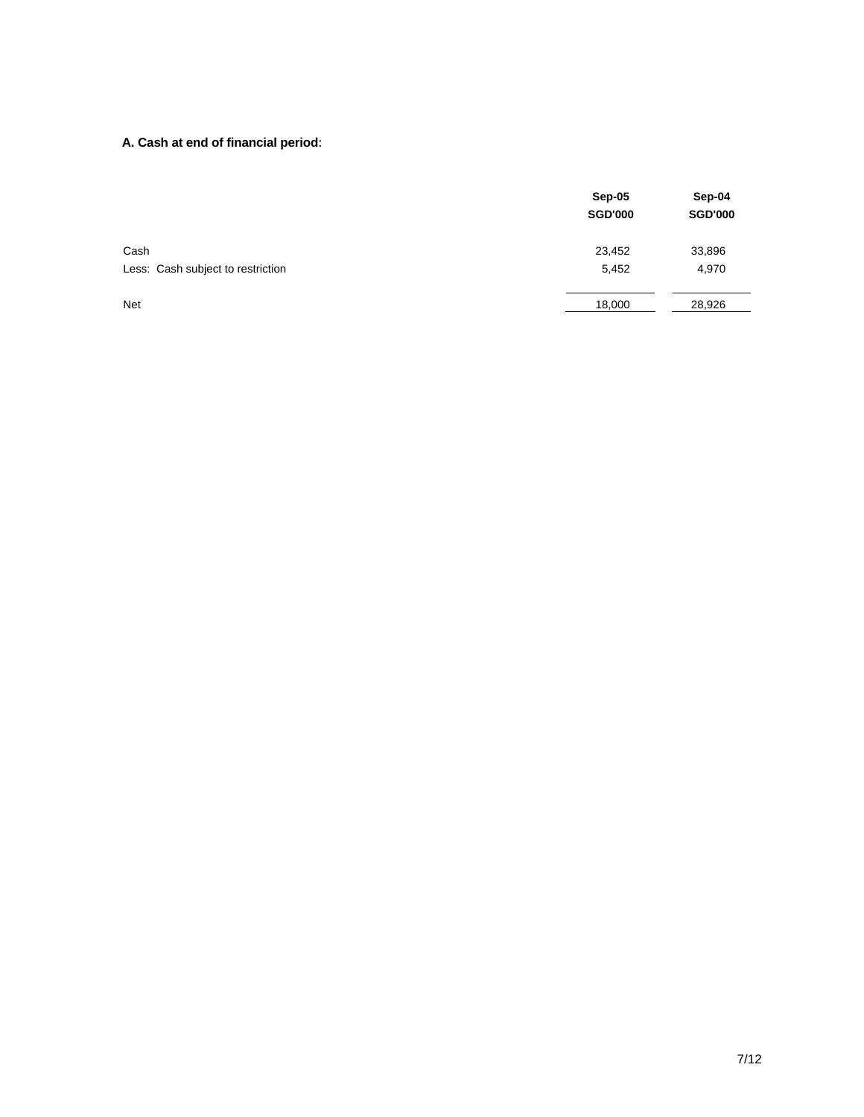# **A. Cash at end of financial period**:

|                                           | Sep-05<br><b>SGD'000</b> | Sep-04<br><b>SGD'000</b> |
|-------------------------------------------|--------------------------|--------------------------|
| Cash<br>Less: Cash subject to restriction | 23,452<br>5,452          | 33,896<br>4,970          |
| <b>Net</b>                                | 18,000                   | 28,926                   |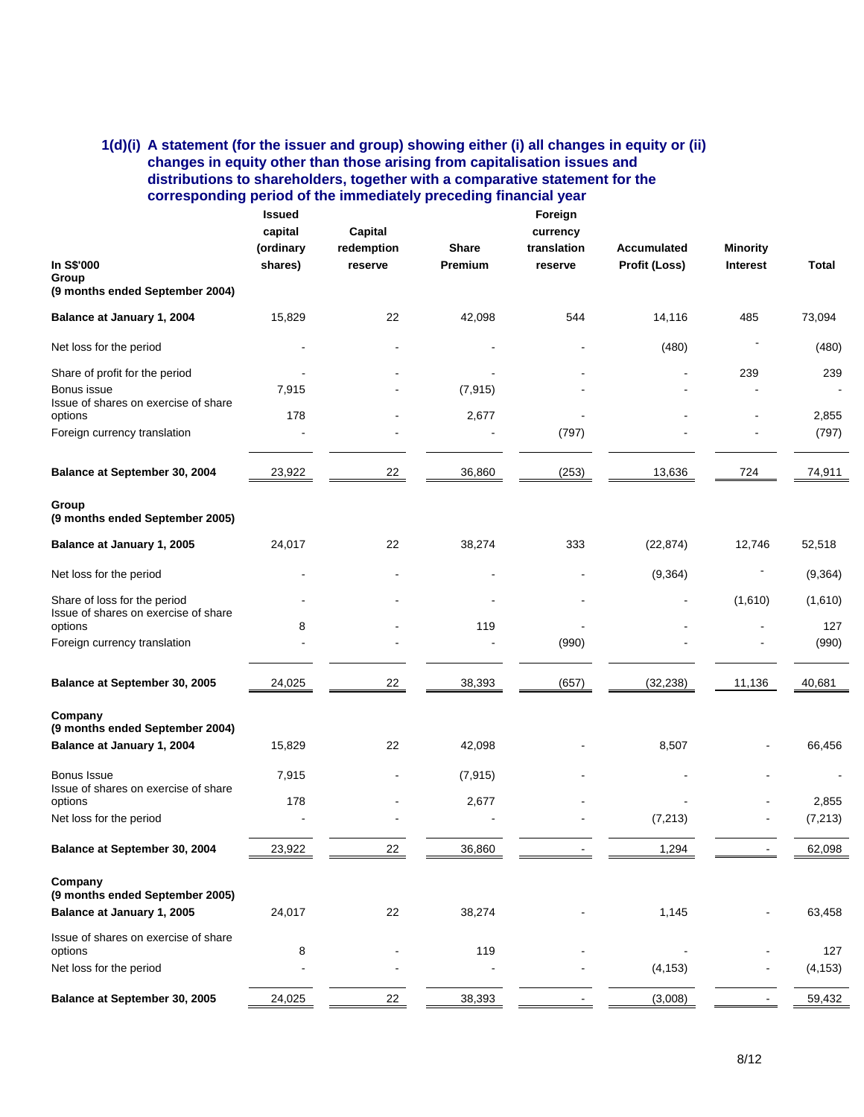## **1(d)(i) A statement (for the issuer and group) showing either (i) all changes in equity or (ii) changes in equity other than those arising from capitalisation issues and distributions to shareholders, together with a comparative statement for the corresponding period of the immediately preceding financial year**

|                                                     | <b>Issued</b><br>capital<br>(ordinary | Capital<br>redemption | <b>Share</b> | Foreign<br>currency<br>translation | Accumulated   | <b>Minority</b> |          |
|-----------------------------------------------------|---------------------------------------|-----------------------|--------------|------------------------------------|---------------|-----------------|----------|
| In S\$'000<br>Group                                 | shares)                               | reserve               | Premium      | reserve                            | Profit (Loss) | <b>Interest</b> | Total    |
| (9 months ended September 2004)                     |                                       |                       |              |                                    |               |                 |          |
| Balance at January 1, 2004                          | 15,829                                | 22                    | 42,098       | 544                                | 14,116        | 485             | 73,094   |
| Net loss for the period                             |                                       |                       |              |                                    | (480)         |                 | (480)    |
| Share of profit for the period                      |                                       |                       |              |                                    |               | 239             | 239      |
| Bonus issue<br>Issue of shares on exercise of share | 7,915                                 |                       | (7, 915)     |                                    |               |                 |          |
| options                                             | 178                                   |                       | 2,677        |                                    |               |                 | 2,855    |
| Foreign currency translation                        |                                       |                       |              | (797)                              |               |                 | (797)    |
| Balance at September 30, 2004                       | 23,922                                | 22                    | 36,860       | (253)                              | 13,636        | 724             | 74,911   |
| Group<br>(9 months ended September 2005)            |                                       |                       |              |                                    |               |                 |          |
| Balance at January 1, 2005                          | 24,017                                | 22                    | 38,274       | 333                                | (22, 874)     | 12,746          | 52,518   |
| Net loss for the period                             |                                       |                       |              |                                    | (9, 364)      |                 | (9, 364) |
| Share of loss for the period                        |                                       |                       |              |                                    |               | (1,610)         | (1,610)  |
| Issue of shares on exercise of share<br>options     | 8                                     |                       | 119          |                                    |               |                 | 127      |
| Foreign currency translation                        |                                       |                       |              | (990)                              |               |                 | (990)    |
| Balance at September 30, 2005                       | 24,025                                | 22                    | 38,393       | (657)                              | (32, 238)     | 11,136          | 40,681   |
| Company<br>(9 months ended September 2004)          |                                       |                       |              |                                    |               |                 |          |
| Balance at January 1, 2004                          | 15,829                                | 22                    | 42,098       |                                    | 8,507         |                 | 66,456   |
| Bonus Issue<br>Issue of shares on exercise of share | 7,915                                 |                       | (7, 915)     |                                    |               |                 |          |
| options                                             | 178                                   |                       | 2,677        |                                    |               |                 | 2,855    |
| Net loss for the period                             |                                       |                       |              |                                    | (7, 213)      |                 | (7, 213) |
| Balance at September 30, 2004                       | 23,922                                | 22                    | 36,860       |                                    | 1,294         |                 | 62,098   |
| Company<br>(9 months ended September 2005)          |                                       |                       |              |                                    |               |                 |          |
| Balance at January 1, 2005                          | 24,017                                | 22                    | 38,274       |                                    | 1,145         |                 | 63,458   |
| Issue of shares on exercise of share<br>options     | 8                                     |                       | 119          |                                    |               |                 | 127      |
| Net loss for the period                             |                                       |                       |              |                                    | (4, 153)      |                 | (4, 153) |
| Balance at September 30, 2005                       | 24,025                                | 22                    | 38,393       |                                    | (3,008)       |                 | 59,432   |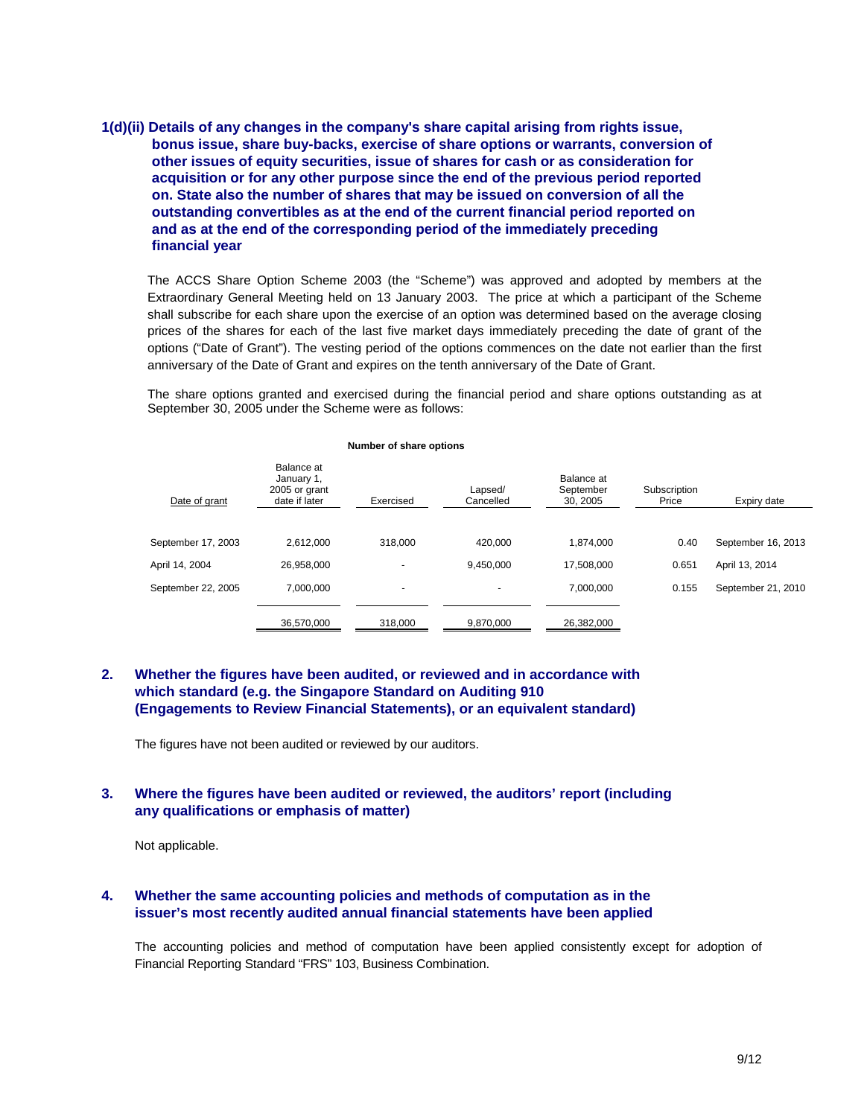## **1(d)(ii) Details of any changes in the company's share capital arising from rights issue, bonus issue, share buy-backs, exercise of share options or warrants, conversion of other issues of equity securities, issue of shares for cash or as consideration for acquisition or for any other purpose since the end of the previous period reported on. State also the number of shares that may be issued on conversion of all the outstanding convertibles as at the end of the current financial period reported on and as at the end of the corresponding period of the immediately preceding financial year**

The ACCS Share Option Scheme 2003 (the "Scheme") was approved and adopted by members at the Extraordinary General Meeting held on 13 January 2003. The price at which a participant of the Scheme shall subscribe for each share upon the exercise of an option was determined based on the average closing prices of the shares for each of the last five market days immediately preceding the date of grant of the options ("Date of Grant"). The vesting period of the options commences on the date not earlier than the first anniversary of the Date of Grant and expires on the tenth anniversary of the Date of Grant.

The share options granted and exercised during the financial period and share options outstanding as at September 30, 2005 under the Scheme were as follows:

| Date of grant      | Balance at<br>January 1,<br>2005 or grant<br>date if later | Exercised                | Lapsed/<br>Cancelled | Balance at<br>September<br>30, 2005 | Subscription<br>Price | Expiry date        |
|--------------------|------------------------------------------------------------|--------------------------|----------------------|-------------------------------------|-----------------------|--------------------|
|                    |                                                            |                          |                      |                                     |                       |                    |
| September 17, 2003 | 2.612.000                                                  | 318,000                  | 420.000              | 1.874.000                           | 0.40                  | September 16, 2013 |
| April 14, 2004     | 26.958.000                                                 | $\overline{\phantom{a}}$ | 9.450.000            | 17.508.000                          | 0.651                 | April 13, 2014     |
| September 22, 2005 | 7.000.000                                                  | $\overline{\phantom{a}}$ | $\blacksquare$       | 7,000,000                           | 0.155                 | September 21, 2010 |
|                    | 36,570,000                                                 | 318,000                  | 9,870,000            | 26,382,000                          |                       |                    |

#### **Number of share options**

#### **2. Whether the figures have been audited, or reviewed and in accordance with which standard (e.g. the Singapore Standard on Auditing 910 (Engagements to Review Financial Statements), or an equivalent standard)**

The figures have not been audited or reviewed by our auditors.

#### **3. Where the figures have been audited or reviewed, the auditors' report (including any qualifications or emphasis of matter)**

Not applicable.

#### **4. Whether the same accounting policies and methods of computation as in the issuer's most recently audited annual financial statements have been applied**

The accounting policies and method of computation have been applied consistently except for adoption of Financial Reporting Standard "FRS" 103, Business Combination.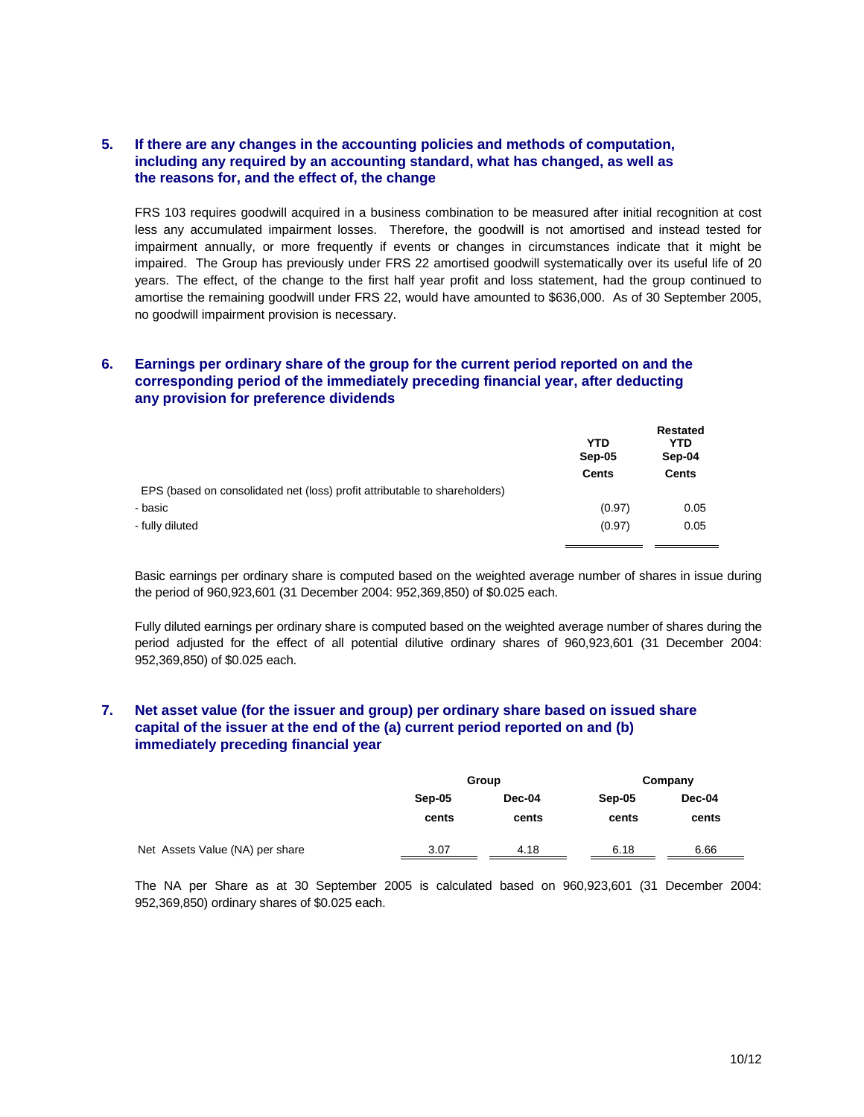## **5. If there are any changes in the accounting policies and methods of computation, including any required by an accounting standard, what has changed, as well as the reasons for, and the effect of, the change**

FRS 103 requires goodwill acquired in a business combination to be measured after initial recognition at cost less any accumulated impairment losses. Therefore, the goodwill is not amortised and instead tested for impairment annually, or more frequently if events or changes in circumstances indicate that it might be impaired. The Group has previously under FRS 22 amortised goodwill systematically over its useful life of 20 years. The effect, of the change to the first half year profit and loss statement, had the group continued to amortise the remaining goodwill under FRS 22, would have amounted to \$636,000. As of 30 September 2005, no goodwill impairment provision is necessary.

## **6. Earnings per ordinary share of the group for the current period reported on and the corresponding period of the immediately preceding financial year, after deducting any provision for preference dividends**

|                                                                            | <b>YTD</b><br>Sep-05 | <b>Restated</b><br>YTD<br>Sep-04 |
|----------------------------------------------------------------------------|----------------------|----------------------------------|
|                                                                            | <b>Cents</b>         | <b>Cents</b>                     |
| EPS (based on consolidated net (loss) profit attributable to shareholders) |                      |                                  |
| - basic                                                                    | (0.97)               | 0.05                             |
| - fully diluted                                                            | (0.97)               | 0.05                             |
|                                                                            |                      |                                  |

Basic earnings per ordinary share is computed based on the weighted average number of shares in issue during the period of 960,923,601 (31 December 2004: 952,369,850) of \$0.025 each.

Fully diluted earnings per ordinary share is computed based on the weighted average number of shares during the period adjusted for the effect of all potential dilutive ordinary shares of 960,923,601 (31 December 2004: 952,369,850) of \$0.025 each.

#### **7. Net asset value (for the issuer and group) per ordinary share based on issued share capital of the issuer at the end of the (a) current period reported on and (b) immediately preceding financial year**

|                                 | Group  |        |        | Company |  |
|---------------------------------|--------|--------|--------|---------|--|
|                                 | Sep-05 | Dec-04 | Sep-05 | Dec-04  |  |
|                                 | cents  | cents  | cents  | cents   |  |
| Net Assets Value (NA) per share | 3.07   | 4.18   | 6.18   | 6.66    |  |

The NA per Share as at 30 September 2005 is calculated based on 960,923,601 (31 December 2004: 952,369,850) ordinary shares of \$0.025 each.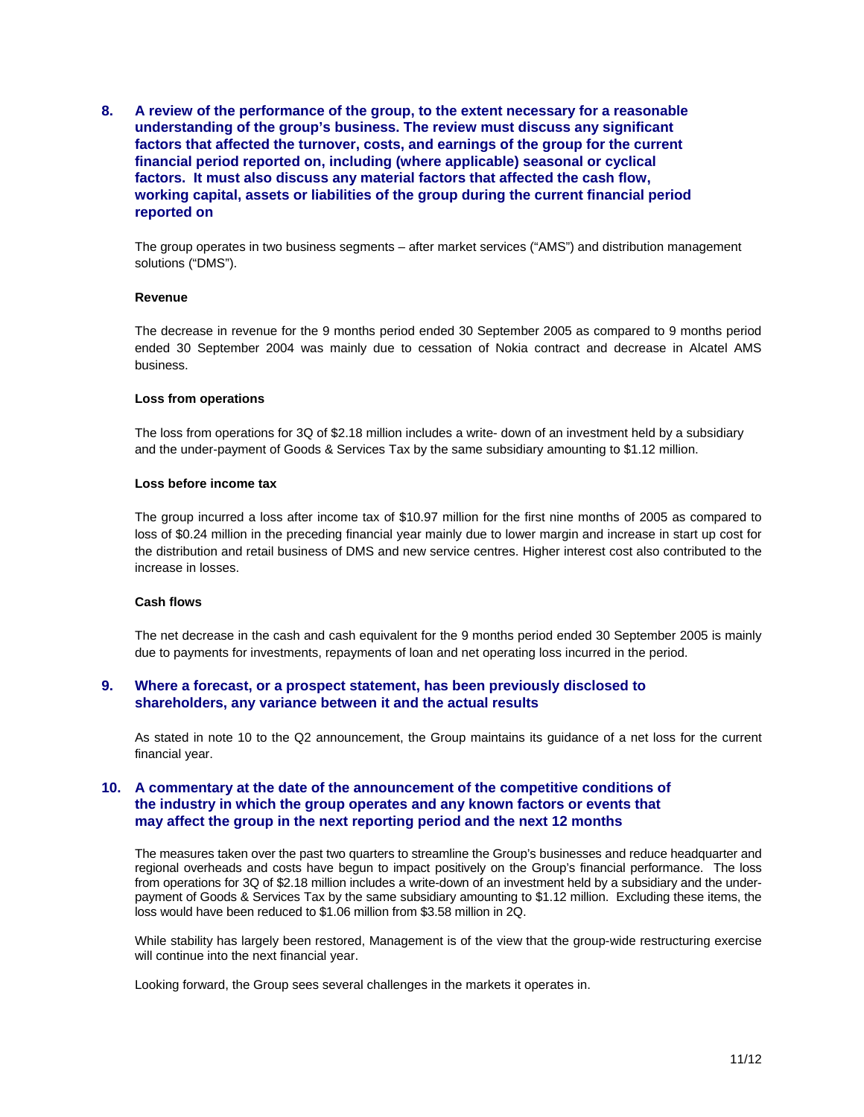**8. A review of the performance of the group, to the extent necessary for a reasonable understanding of the group's business. The review must discuss any significant factors that affected the turnover, costs, and earnings of the group for the current financial period reported on, including (where applicable) seasonal or cyclical factors. It must also discuss any material factors that affected the cash flow, working capital, assets or liabilities of the group during the current financial period reported on** 

The group operates in two business segments – after market services ("AMS") and distribution management solutions ("DMS").

#### **Revenue**

The decrease in revenue for the 9 months period ended 30 September 2005 as compared to 9 months period ended 30 September 2004 was mainly due to cessation of Nokia contract and decrease in Alcatel AMS business.

#### **Loss from operations**

The loss from operations for 3Q of \$2.18 million includes a write- down of an investment held by a subsidiary and the under-payment of Goods & Services Tax by the same subsidiary amounting to \$1.12 million.

#### **Loss before income tax**

The group incurred a loss after income tax of \$10.97 million for the first nine months of 2005 as compared to loss of \$0.24 million in the preceding financial year mainly due to lower margin and increase in start up cost for the distribution and retail business of DMS and new service centres. Higher interest cost also contributed to the increase in losses.

#### **Cash flows**

The net decrease in the cash and cash equivalent for the 9 months period ended 30 September 2005 is mainly due to payments for investments, repayments of loan and net operating loss incurred in the period.

#### **9. Where a forecast, or a prospect statement, has been previously disclosed to shareholders, any variance between it and the actual results**

As stated in note 10 to the Q2 announcement, the Group maintains its guidance of a net loss for the current financial year.

## **10. A commentary at the date of the announcement of the competitive conditions of the industry in which the group operates and any known factors or events that may affect the group in the next reporting period and the next 12 months**

The measures taken over the past two quarters to streamline the Group's businesses and reduce headquarter and regional overheads and costs have begun to impact positively on the Group's financial performance. The loss from operations for 3Q of \$2.18 million includes a write-down of an investment held by a subsidiary and the underpayment of Goods & Services Tax by the same subsidiary amounting to \$1.12 million. Excluding these items, the loss would have been reduced to \$1.06 million from \$3.58 million in 2Q.

While stability has largely been restored, Management is of the view that the group-wide restructuring exercise will continue into the next financial year.

Looking forward, the Group sees several challenges in the markets it operates in.